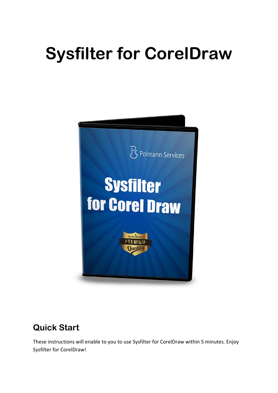# **Sysfilter for CorelDraw**



# **Quick Start**

These instructions will enable to you to use Sysfilter for CorelDraw within 5 minutes. Enjoy Sysfilter for CorelDraw!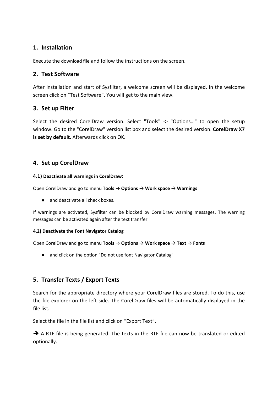#### **1. Installation**

Execute the download file and follow the instructions on the screen.

#### **2. Test Software**

After installation and start of Sysfilter, a welcome screen will be displayed. In the welcome screen click on "Test Software". You will get to the main view.

#### **3. Set up Filter**

Select the desired CorelDraw version. Select "Tools" -> "Options…" to open the setup window. Go to the "CorelDraw" version list box and select the desired version. **CorelDraw X7 is set by default**. Afterwards click on OK.

#### **4. Set up CorelDraw**

#### **4.1) Deactivate all warnings in CorelDraw:**

Open CorelDraw and go to menu **Tools** → **Options** → **Work space** → **Warnings**

● and deactivate all check boxes.

If warnings are activated, Sysfilter can be blocked by CorelDraw warning messages. The warning messages can be activated again after the text transfer

#### **4.2) Deactivate the Font Navigator Catalog**

Open CorelDraw and go to menu **Tools** → **Options** → **Work space** → **Text** → **Fonts**

● and click on the option "Do not use font Navigator Catalog"

## **5. Transfer Texts / Export Texts**

Search for the appropriate directory where your CorelDraw files are stored. To do this, use the file explorer on the left side. The CorelDraw files will be automatically displayed in the file list.

Select the file in the file list and click on "Export Text".

A RTF file is being generated. The texts in the RTF file can now be translated or edited optionally.